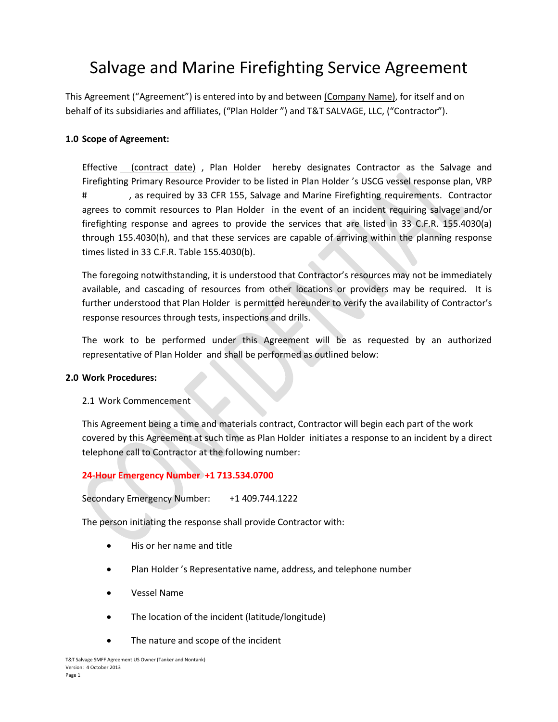# Salvage and Marine Firefighting Service Agreement

This Agreement ("Agreement") is entered into by and between (Company Name), for itself and on behalf of its subsidiaries and affiliates, ("Plan Holder ") and T&T SALVAGE, LLC, ("Contractor").

## **1.0 Scope of Agreement:**

Effective (contract date) , Plan Holder hereby designates Contractor as the Salvage and Firefighting Primary Resource Provider to be listed in Plan Holder 's USCG vessel response plan, VRP # \_\_\_\_\_\_\_\_\_, as required by 33 CFR 155, Salvage and Marine Firefighting requirements. Contractor agrees to commit resources to Plan Holder in the event of an incident requiring salvage and/or firefighting response and agrees to provide the services that are listed in 33 C.F.R. 155.4030(a) through 155.4030(h), and that these services are capable of arriving within the planning response times listed in 33 C.F.R. Table 155.4030(b).

The foregoing notwithstanding, it is understood that Contractor's resources may not be immediately available, and cascading of resources from other locations or providers may be required. It is further understood that Plan Holder is permitted hereunder to verify the availability of Contractor's response resources through tests, inspections and drills.

The work to be performed under this Agreement will be as requested by an authorized representative of Plan Holder and shall be performed as outlined below:

## **2.0 Work Procedures:**

## 2.1 Work Commencement

This Agreement being a time and materials contract, Contractor will begin each part of the work covered by this Agreement at such time as Plan Holder initiates a response to an incident by a direct telephone call to Contractor at the following number:

## **24-Hour Emergency Number +1 713.534.0700**

Secondary Emergency Number: +1 409.744.1222

The person initiating the response shall provide Contractor with:

- His or her name and title
- Plan Holder 's Representative name, address, and telephone number
- x Vessel Name
- The location of the incident (latitude/longitude)
- The nature and scope of the incident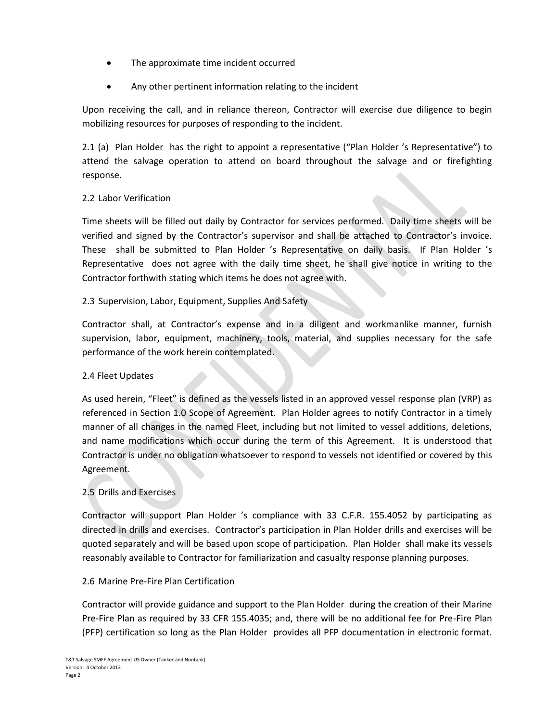- The approximate time incident occurred
- Any other pertinent information relating to the incident

Upon receiving the call, and in reliance thereon, Contractor will exercise due diligence to begin mobilizing resources for purposes of responding to the incident.

2.1 (a) Plan Holder has the right to appoint a representative ("Plan Holder 's Representative") to attend the salvage operation to attend on board throughout the salvage and or firefighting response.

## 2.2 Labor Verification

Time sheets will be filled out daily by Contractor for services performed. Daily time sheets will be verified and signed by the Contractor's supervisor and shall be attached to Contractor's invoice. These shall be submitted to Plan Holder 's Representative on daily basis. If Plan Holder 's Representative does not agree with the daily time sheet, he shall give notice in writing to the Contractor forthwith stating which items he does not agree with.

## 2.3 Supervision, Labor, Equipment, Supplies And Safety

Contractor shall, at Contractor's expense and in a diligent and workmanlike manner, furnish supervision, labor, equipment, machinery, tools, material, and supplies necessary for the safe performance of the work herein contemplated.

## 2.4 Fleet Updates

As used herein, "Fleet" is defined as the vessels listed in an approved vessel response plan (VRP) as referenced in Section 1.0 Scope of Agreement. Plan Holder agrees to notify Contractor in a timely manner of all changes in the named Fleet, including but not limited to vessel additions, deletions, and name modifications which occur during the term of this Agreement. It is understood that Contractor is under no obligation whatsoever to respond to vessels not identified or covered by this Agreement.

# 2.5 Drills and Exercises

Contractor will support Plan Holder 's compliance with 33 C.F.R. 155.4052 by participating as directed in drills and exercises. Contractor's participation in Plan Holder drills and exercises will be quoted separately and will be based upon scope of participation. Plan Holder shall make its vessels reasonably available to Contractor for familiarization and casualty response planning purposes.

## 2.6 Marine Pre-Fire Plan Certification

Contractor will provide guidance and support to the Plan Holder during the creation of their Marine Pre-Fire Plan as required by 33 CFR 155.4035; and, there will be no additional fee for Pre-Fire Plan (PFP) certification so long as the Plan Holder provides all PFP documentation in electronic format.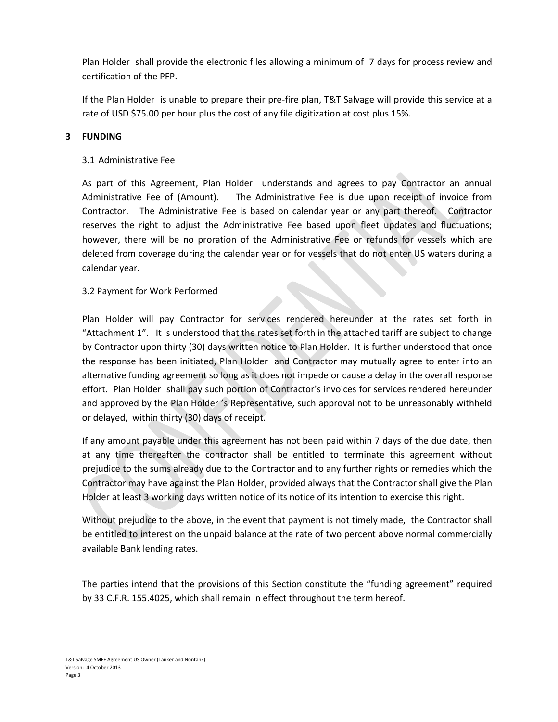Plan Holder shall provide the electronic files allowing a minimum of 7 days for process review and certification of the PFP.

If the Plan Holder is unable to prepare their pre-fire plan, T&T Salvage will provide this service at a rate of USD \$75.00 per hour plus the cost of any file digitization at cost plus 15%.

## **3 FUNDING**

## 3.1 Administrative Fee

As part of this Agreement, Plan Holder understands and agrees to pay Contractor an annual Administrative Fee of (Amount). The Administrative Fee is due upon receipt of invoice from Contractor. The Administrative Fee is based on calendar year or any part thereof. Contractor reserves the right to adjust the Administrative Fee based upon fleet updates and fluctuations; however, there will be no proration of the Administrative Fee or refunds for vessels which are deleted from coverage during the calendar year or for vessels that do not enter US waters during a calendar year.

## 3.2 Payment for Work Performed

Plan Holder will pay Contractor for services rendered hereunder at the rates set forth in "Attachment 1". It is understood that the rates set forth in the attached tariff are subject to change by Contractor upon thirty (30) days written notice to Plan Holder. It is further understood that once the response has been initiated, Plan Holder and Contractor may mutually agree to enter into an alternative funding agreement so long as it does not impede or cause a delay in the overall response effort. Plan Holder shall pay such portion of Contractor's invoices for services rendered hereunder and approved by the Plan Holder 's Representative, such approval not to be unreasonably withheld or delayed, within thirty (30) days of receipt.

If any amount payable under this agreement has not been paid within 7 days of the due date, then at any time thereafter the contractor shall be entitled to terminate this agreement without prejudice to the sums already due to the Contractor and to any further rights or remedies which the Contractor may have against the Plan Holder, provided always that the Contractor shall give the Plan Holder at least 3 working days written notice of its notice of its intention to exercise this right.

Without prejudice to the above, in the event that payment is not timely made, the Contractor shall be entitled to interest on the unpaid balance at the rate of two percent above normal commercially available Bank lending rates.

The parties intend that the provisions of this Section constitute the "funding agreement" required by 33 C.F.R. 155.4025, which shall remain in effect throughout the term hereof.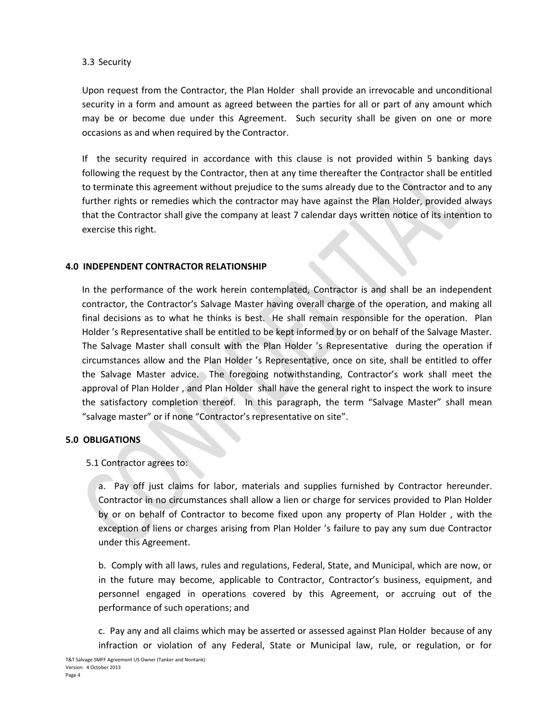## 3.3 Security

Upon request from the Contractor, the Plan Holder shall provide an irrevocable and unconditional security in a form and amount as agreed between the parties for all or part of any amount which may be or become due under this Agreement. Such security shall be given on one or more occasions as and when required by the Contractor.

If the security required in accordance with this clause is not provided within 5 banking days following the request by the Contractor, then at any time thereafter the Contractor shall be entitled to terminate this agreement without prejudice to the sums already due to the Contractor and to any further rights or remedies which the contractor may have against the Plan Holder, provided always that the Contractor shall give the company at least 7 calendar days written notice of its intention to exercise this right.

## **4.0 INDEPENDENT CONTRACTOR RELATIONSHIP**

In the performance of the work herein contemplated, Contractor is and shall be an independent contractor, the Contractor's Salvage Master having overall charge of the operation, and making all final decisions as to what he thinks is best. He shall remain responsible for the operation. Plan Holder 's Representative shall be entitled to be kept informed by or on behalf of the Salvage Master. The Salvage Master shall consult with the Plan Holder 's Representative during the operation if circumstances allow and the Plan Holder 's Representative, once on site, shall be entitled to offer the Salvage Master advice. The foregoing notwithstanding, Contractor's work shall meet the approval of Plan Holder , and Plan Holder shall have the general right to inspect the work to insure the satisfactory completion thereof. In this paragraph, the term "Salvage Master" shall mean "salvage master" or if none "Contractor's representative on site".

## **5.0 OBLIGATIONS**

## 5.1 Contractor agrees to:

a. Pay off just claims for labor, materials and supplies furnished by Contractor hereunder. Contractor in no circumstances shall allow a lien or charge for services provided to Plan Holder by or on behalf of Contractor to become fixed upon any property of Plan Holder , with the exception of liens or charges arising from Plan Holder 's failure to pay any sum due Contractor under this Agreement.

b. Comply with all laws, rules and regulations, Federal, State, and Municipal, which are now, or in the future may become, applicable to Contractor, Contractor's business, equipment, and personnel engaged in operations covered by this Agreement, or accruing out of the performance of such operations; and

c. Pay any and all claims which may be asserted or assessed against Plan Holder because of any infraction or violation of any Federal, State or Municipal law, rule, or regulation, or for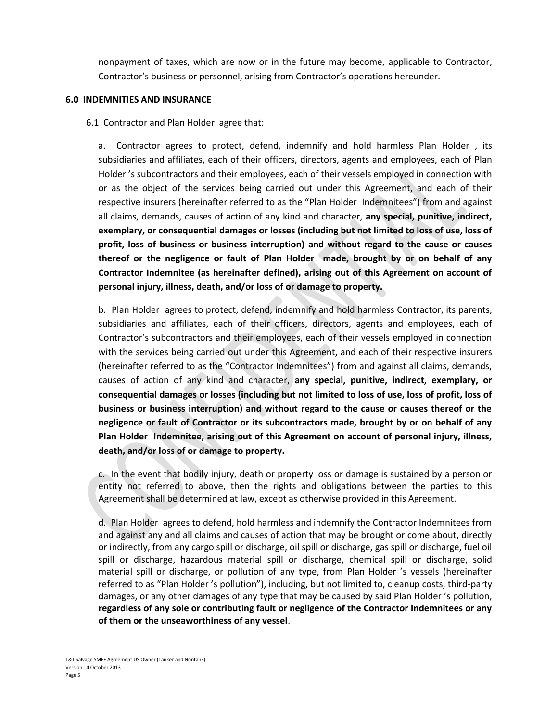nonpayment of taxes, which are now or in the future may become, applicable to Contractor, Contractor's business or personnel, arising from Contractor's operations hereunder.

#### **6.0 INDEMNITIES AND INSURANCE**

6.1 Contractor and Plan Holder agree that:

a. Contractor agrees to protect, defend, indemnify and hold harmless Plan Holder , its subsidiaries and affiliates, each of their officers, directors, agents and employees, each of Plan Holder 's subcontractors and their employees, each of their vessels employed in connection with or as the object of the services being carried out under this Agreement, and each of their respective insurers (hereinafter referred to as the "Plan Holder Indemnitees") from and against all claims, demands, causes of action of any kind and character, **any special, punitive, indirect, exemplary, or consequential damages or losses (including but not limited to loss of use, loss of profit, loss of business or business interruption) and without regard to the cause or causes thereof or the negligence or fault of Plan Holder made, brought by or on behalf of any Contractor Indemnitee (as hereinafter defined), arising out of this Agreement on account of personal injury, illness, death, and/or loss of or damage to property.**

b. Plan Holder agrees to protect, defend, indemnify and hold harmless Contractor, its parents, subsidiaries and affiliates, each of their officers, directors, agents and employees, each of Contractor's subcontractors and their employees, each of their vessels employed in connection with the services being carried out under this Agreement, and each of their respective insurers (hereinafter referred to as the "Contractor Indemnitees") from and against all claims, demands, causes of action of any kind and character, **any special, punitive, indirect, exemplary, or consequential damages or losses (including but not limited to loss of use, loss of profit, loss of business or business interruption) and without regard to the cause or causes thereof or the negligence or fault of Contractor or its subcontractors made, brought by or on behalf of any Plan Holder Indemnitee, arising out of this Agreement on account of personal injury, illness, death, and/or loss of or damage to property.**

c. In the event that bodily injury, death or property loss or damage is sustained by a person or entity not referred to above, then the rights and obligations between the parties to this Agreement shall be determined at law, except as otherwise provided in this Agreement.

d. Plan Holder agrees to defend, hold harmless and indemnify the Contractor Indemnitees from and against any and all claims and causes of action that may be brought or come about, directly or indirectly, from any cargo spill or discharge, oil spill or discharge, gas spill or discharge, fuel oil spill or discharge, hazardous material spill or discharge, chemical spill or discharge, solid material spill or discharge, or pollution of any type, from Plan Holder 's vessels (hereinafter referred to as "Plan Holder 's pollution"), including, but not limited to, cleanup costs, third-party damages, or any other damages of any type that may be caused by said Plan Holder 's pollution, **regardless of any sole or contributing fault or negligence of the Contractor Indemnitees or any of them or the unseaworthiness of any vessel**.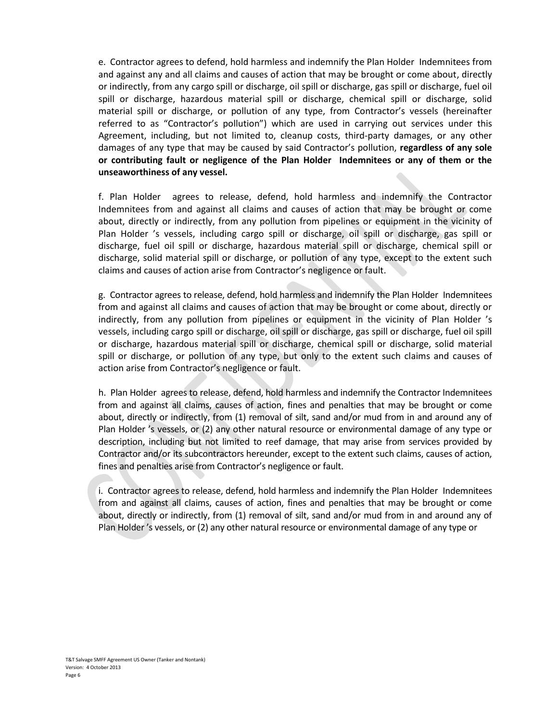e. Contractor agrees to defend, hold harmless and indemnify the Plan Holder Indemnitees from and against any and all claims and causes of action that may be brought or come about, directly or indirectly, from any cargo spill or discharge, oil spill or discharge, gas spill or discharge, fuel oil spill or discharge, hazardous material spill or discharge, chemical spill or discharge, solid material spill or discharge, or pollution of any type, from Contractor's vessels (hereinafter referred to as "Contractor's pollution") which are used in carrying out services under this Agreement, including, but not limited to, cleanup costs, third-party damages, or any other damages of any type that may be caused by said Contractor's pollution, **regardless of any sole or contributing fault or negligence of the Plan Holder Indemnitees or any of them or the unseaworthiness of any vessel.**

f. Plan Holder agrees to release, defend, hold harmless and indemnify the Contractor Indemnitees from and against all claims and causes of action that may be brought or come about, directly or indirectly, from any pollution from pipelines or equipment in the vicinity of Plan Holder 's vessels, including cargo spill or discharge, oil spill or discharge, gas spill or discharge, fuel oil spill or discharge, hazardous material spill or discharge, chemical spill or discharge, solid material spill or discharge, or pollution of any type, except to the extent such claims and causes of action arise from Contractor's negligence or fault.

g. Contractor agrees to release, defend, hold harmless and indemnify the Plan Holder Indemnitees from and against all claims and causes of action that may be brought or come about, directly or indirectly, from any pollution from pipelines or equipment in the vicinity of Plan Holder 's vessels, including cargo spill or discharge, oil spill or discharge, gas spill or discharge, fuel oil spill or discharge, hazardous material spill or discharge, chemical spill or discharge, solid material spill or discharge, or pollution of any type, but only to the extent such claims and causes of action arise from Contractor's negligence or fault.

h. Plan Holder agrees to release, defend, hold harmless and indemnify the Contractor Indemnitees from and against all claims, causes of action, fines and penalties that may be brought or come about, directly or indirectly, from (1) removal of silt, sand and/or mud from in and around any of Plan Holder 's vessels, or (2) any other natural resource or environmental damage of any type or description, including but not limited to reef damage, that may arise from services provided by Contractor and/or its subcontractors hereunder, except to the extent such claims, causes of action, fines and penalties arise from Contractor's negligence or fault.

i. Contractor agrees to release, defend, hold harmless and indemnify the Plan Holder Indemnitees from and against all claims, causes of action, fines and penalties that may be brought or come about, directly or indirectly, from (1) removal of silt, sand and/or mud from in and around any of Plan Holder 's vessels, or (2) any other natural resource or environmental damage of any type or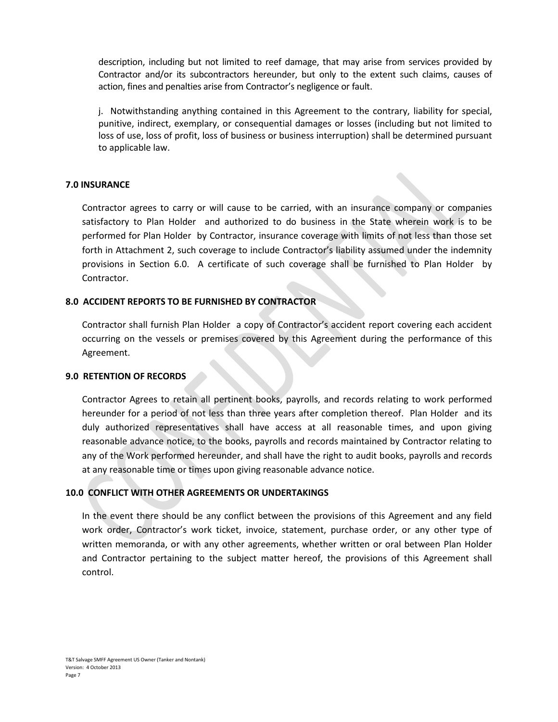description, including but not limited to reef damage, that may arise from services provided by Contractor and/or its subcontractors hereunder, but only to the extent such claims, causes of action, fines and penalties arise from Contractor's negligence or fault.

j. Notwithstanding anything contained in this Agreement to the contrary, liability for special, punitive, indirect, exemplary, or consequential damages or losses (including but not limited to loss of use, loss of profit, loss of business or business interruption) shall be determined pursuant to applicable law.

## **7.0 INSURANCE**

Contractor agrees to carry or will cause to be carried, with an insurance company or companies satisfactory to Plan Holder and authorized to do business in the State wherein work is to be performed for Plan Holder by Contractor, insurance coverage with limits of not less than those set forth in Attachment 2, such coverage to include Contractor's liability assumed under the indemnity provisions in Section 6.0. A certificate of such coverage shall be furnished to Plan Holder by Contractor.

## **8.0 ACCIDENT REPORTS TO BE FURNISHED BY CONTRACTOR**

Contractor shall furnish Plan Holder a copy of Contractor's accident report covering each accident occurring on the vessels or premises covered by this Agreement during the performance of this Agreement.

#### **9.0 RETENTION OF RECORDS**

Contractor Agrees to retain all pertinent books, payrolls, and records relating to work performed hereunder for a period of not less than three years after completion thereof. Plan Holder and its duly authorized representatives shall have access at all reasonable times, and upon giving reasonable advance notice, to the books, payrolls and records maintained by Contractor relating to any of the Work performed hereunder, and shall have the right to audit books, payrolls and records at any reasonable time or times upon giving reasonable advance notice.

## **10.0 CONFLICT WITH OTHER AGREEMENTS OR UNDERTAKINGS**

In the event there should be any conflict between the provisions of this Agreement and any field work order, Contractor's work ticket, invoice, statement, purchase order, or any other type of written memoranda, or with any other agreements, whether written or oral between Plan Holder and Contractor pertaining to the subject matter hereof, the provisions of this Agreement shall control.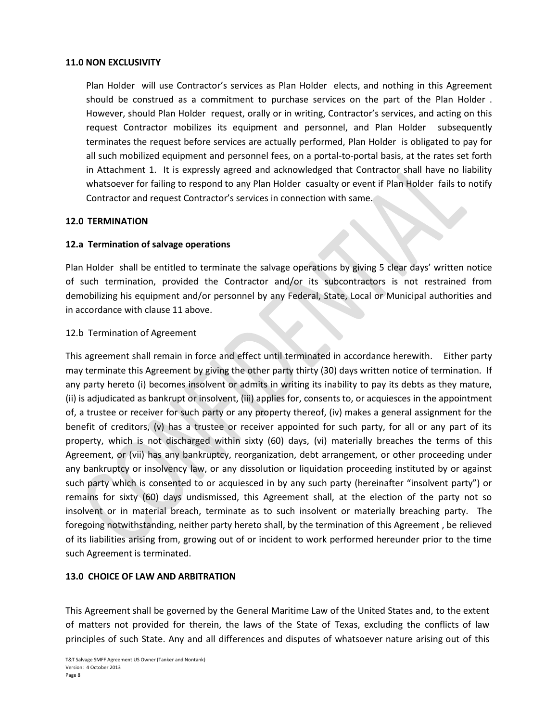#### **11.0 NON EXCLUSIVITY**

Plan Holder will use Contractor's services as Plan Holder elects, and nothing in this Agreement should be construed as a commitment to purchase services on the part of the Plan Holder . However, should Plan Holder request, orally or in writing, Contractor's services, and acting on this request Contractor mobilizes its equipment and personnel, and Plan Holder subsequently terminates the request before services are actually performed, Plan Holder is obligated to pay for all such mobilized equipment and personnel fees, on a portal-to-portal basis, at the rates set forth in Attachment 1. It is expressly agreed and acknowledged that Contractor shall have no liability whatsoever for failing to respond to any Plan Holder casualty or event if Plan Holder fails to notify Contractor and request Contractor's services in connection with same.

#### **12.0 TERMINATION**

#### **12.a Termination of salvage operations**

Plan Holder shall be entitled to terminate the salvage operations by giving 5 clear days' written notice of such termination, provided the Contractor and/or its subcontractors is not restrained from demobilizing his equipment and/or personnel by any Federal, State, Local or Municipal authorities and in accordance with clause 11 above.

#### 12.b Termination of Agreement

This agreement shall remain in force and effect until terminated in accordance herewith. Either party may terminate this Agreement by giving the other party thirty (30) days written notice of termination. If any party hereto (i) becomes insolvent or admits in writing its inability to pay its debts as they mature, (ii) is adjudicated as bankrupt or insolvent, (iii) applies for, consents to, or acquiesces in the appointment of, a trustee or receiver for such party or any property thereof, (iv) makes a general assignment for the benefit of creditors, (v) has a trustee or receiver appointed for such party, for all or any part of its property, which is not discharged within sixty (60) days, (vi) materially breaches the terms of this Agreement, or (vii) has any bankruptcy, reorganization, debt arrangement, or other proceeding under any bankruptcy or insolvency law, or any dissolution or liquidation proceeding instituted by or against such party which is consented to or acquiesced in by any such party (hereinafter "insolvent party") or remains for sixty (60) days undismissed, this Agreement shall, at the election of the party not so insolvent or in material breach, terminate as to such insolvent or materially breaching party. The foregoing notwithstanding, neither party hereto shall, by the termination of this Agreement , be relieved of its liabilities arising from, growing out of or incident to work performed hereunder prior to the time such Agreement is terminated.

#### **13.0 CHOICE OF LAW AND ARBITRATION**

This Agreement shall be governed by the General Maritime Law of the United States and, to the extent of matters not provided for therein, the laws of the State of Texas, excluding the conflicts of law principles of such State. Any and all differences and disputes of whatsoever nature arising out of this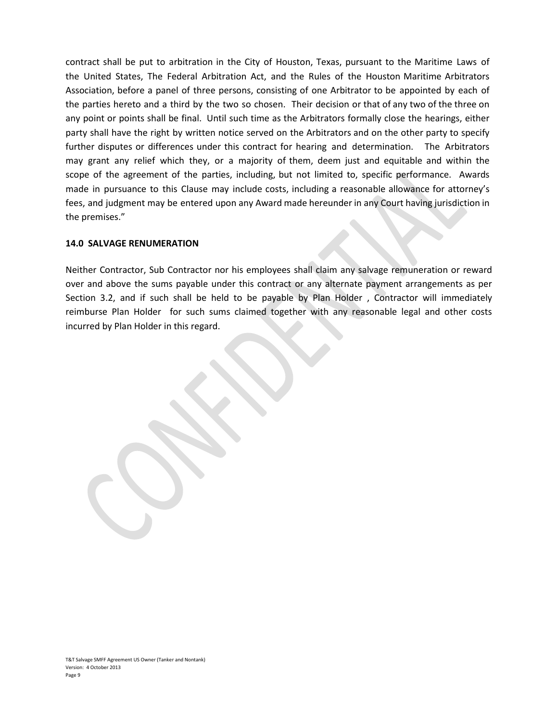contract shall be put to arbitration in the City of Houston, Texas, pursuant to the Maritime Laws of the United States, The Federal Arbitration Act, and the Rules of the Houston Maritime Arbitrators Association, before a panel of three persons, consisting of one Arbitrator to be appointed by each of the parties hereto and a third by the two so chosen. Their decision or that of any two of the three on any point or points shall be final. Until such time as the Arbitrators formally close the hearings, either party shall have the right by written notice served on the Arbitrators and on the other party to specify further disputes or differences under this contract for hearing and determination. The Arbitrators may grant any relief which they, or a majority of them, deem just and equitable and within the scope of the agreement of the parties, including, but not limited to, specific performance. Awards made in pursuance to this Clause may include costs, including a reasonable allowance for attorney's fees, and judgment may be entered upon any Award made hereunder in any Court having jurisdiction in the premises."

#### **14.0 SALVAGE RENUMERATION**

Neither Contractor, Sub Contractor nor his employees shall claim any salvage remuneration or reward over and above the sums payable under this contract or any alternate payment arrangements as per Section 3.2, and if such shall be held to be payable by Plan Holder , Contractor will immediately reimburse Plan Holder for such sums claimed together with any reasonable legal and other costs incurred by Plan Holder in this regard.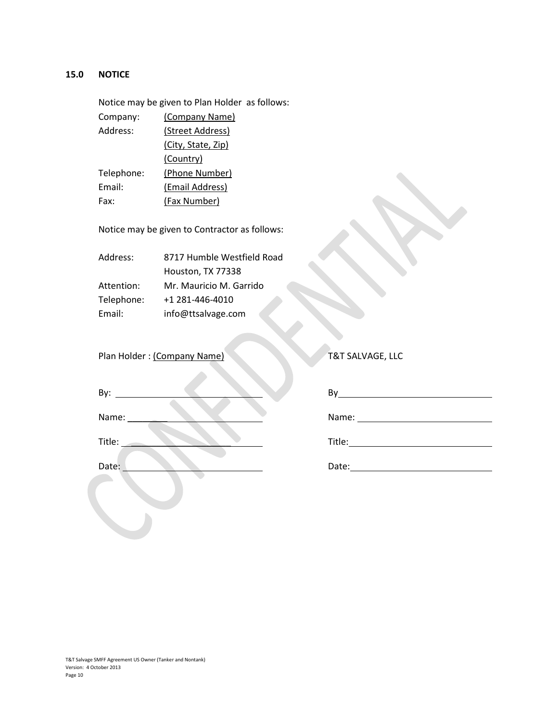## **15.0 NOTICE**

Notice may be given to Plan Holder as follows: Company: (Company Name) Address: (Street Address) (City, State, Zip) (Country) Telephone: (Phone Number) Email: (Email Address) Fax: (Fax Number)

Notice may be given to Contractor as follows:

| Address:   | 8717 Humble Westfield Road |
|------------|----------------------------|
|            | Houston, TX 77338          |
| Attention: | Mr. Mauricio M. Garrido    |
| Telephone: | +1 281-446-4010            |
| Email:     | info@ttsalvage.com         |

Plan Holder : (Company Name) T&T SALVAGE, LLC

| By:    | By     |
|--------|--------|
| Name:  | Name:  |
| Title: | Title: |
| Date:  | Date:  |

T&T Salvage SMFF Agreement US Owner (Tanker and Nontank) Version: 4 October 2013 Page 10